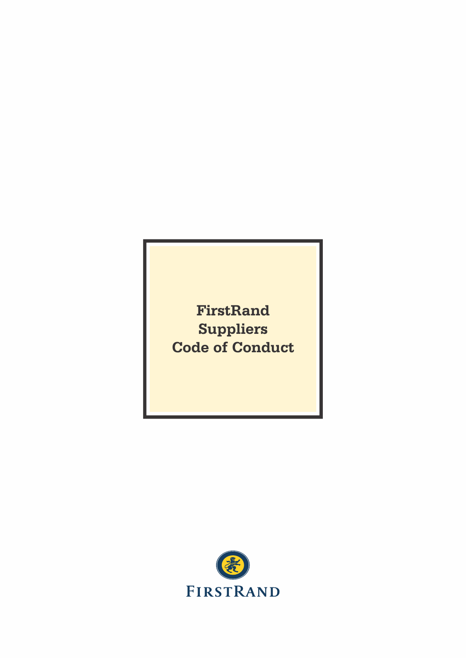**FirstRand Suppliers Code of Conduct**

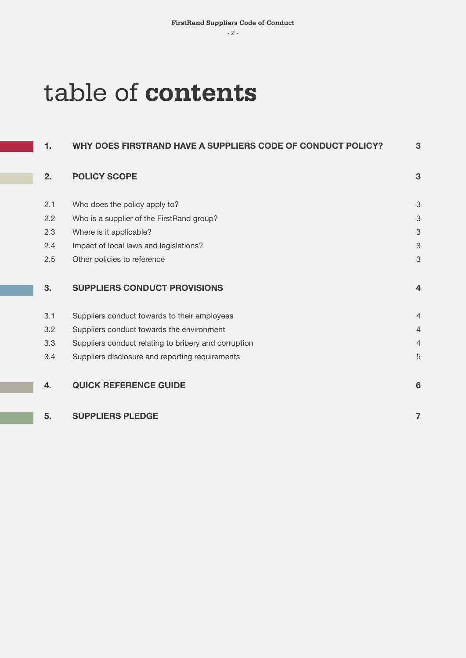$-2$  -  $-$  3  $-$  3  $-$  3  $-$  3  $-$  3  $-$  3  $-$  3  $-$  3  $-$  3  $-$  3  $-$  3  $-$  3  $-$  3  $-$  3  $-$  3  $-$  3  $-$  3  $-$  3  $-$  3  $-$  3  $-$  3  $-$  3  $-$  3  $-$  3  $-$  3  $-$  3  $-$  3  $-$  3  $-$  3  $-$  3  $-$  3  $-$  3  $-$  3  $-$  3  $-$  3  $-$ 

# table of **contents**

| 3              |
|----------------|
| 3              |
| 3              |
| 3              |
| 3              |
| 3              |
| $\overline{4}$ |
| $\overline{4}$ |
| $\overline{4}$ |
| $\overline{4}$ |
| 5              |
| 6              |
| $\overline{7}$ |
|                |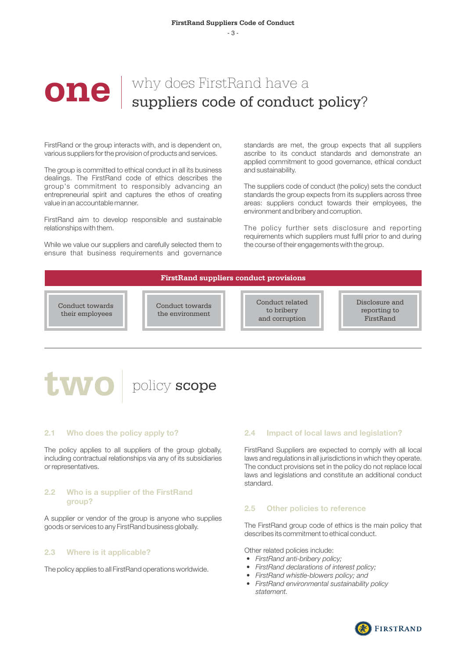# **One** why does FirstRand have a suppliers code of conduct policy?

FirstRand or the group interacts with, and is dependent on, various suppliers for the provision of products and services.

The group is committed to ethical conduct in all its business dealings. The FirstRand code of ethics describes the group's commitment to responsibly advancing an entrepreneurial spirit and captures the ethos of creating value in an accountable manner.

FirstRand aim to develop responsible and sustainable relationships with them.

While we value our suppliers and carefully selected them to ensure that business requirements and governance standards are met, the group expects that all suppliers ascribe to its conduct standards and demonstrate an applied commitment to good governance, ethical conduct and sustainability.

The suppliers code of conduct (the policy) sets the conduct standards the group expects from its suppliers across three areas: suppliers conduct towards their employees, the environment and bribery and corruption.

The policy further sets disclosure and reporting requirements which suppliers must fulfil prior to and during the course of their engagements with the group.

## **FirstRand suppliers conduct provisions**

Conduct towards their employees

Conduct towards the environment

Conduct related to bribery and corruption

Disclosure and reporting to FirstRand

# two policy scope

## 2.1 Who does the policy apply to?

The policy applies to all suppliers of the group globally. including contractual relationships via any of its subsidiaries or representatives.

# 2.2 Who is a supplier of the FirstRand group?

A supplier or vendor of the group is anyone who supplies goods or services to any FirstRand business globally.

# 2.3 Where is it applicable?

The policy applies to all FirstRand operations worldwide.

# 2.4 Impact of local laws and legislation?

FirstRand Suppliers are expected to comply with all local laws and regulations in all jurisdictions in which they operate. The conduct provisions set in the policy do not replace local laws and legislations and constitute an additional conduct standard.

## 2.5 Other policies to reference

The FirstRand group code of ethics is the main policy that describes its commitment to ethical conduct.

Other related policies include:

- FirstRand anti-bribery policy;
- FirstRand declarations of interest policy;
- FirstRand whistle-blowers policy; and
- FirstRand environmental sustainability policy statement.

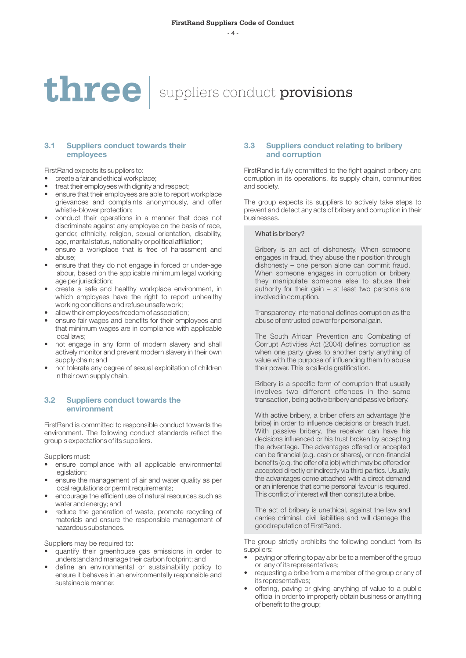# three suppliers conduct provisions

# 3.1 Suppliers conduct towards their employees

FirstRand expects its suppliers to:

- create a fair and ethical workplace;
- treat their employees with dignity and respect:
- ensure that their employees are able to report workplace grievances and complaints anonymously, and offer whistle-blower protection;
- conduct their operations in a manner that does not discriminate against any employee on the basis of race, gender, ethnicity, religion, sexual orientation, disability, age, marital status, nationality or political affiliation;
- ensure a workplace that is free of harassment and abuse;
- ensure that they do not engage in forced or under-age labour, based on the applicable minimum legal working age per jurisdiction;
- create a safe and healthy workplace environment, in which employees have the right to report unhealthy working conditions and refuse unsafe work;
- allow their employees freedom of association;
- ensure fair wages and benefits for their employees and that minimum wages are in compliance with applicable local laws;
- not engage in any form of modern slavery and shall actively monitor and prevent modern slavery in their own supply chain; and
- not tolerate any degree of sexual exploitation of children in their own supply chain.

# 3.2 Suppliers conduct towards the environment

FirstRand is committed to responsible conduct towards the environment. The following conduct standards reflect the group's expectations of its suppliers.

Suppliers must:

- ensure compliance with all applicable environmental legislation;
- ensure the management of air and water quality as per local regulations or permit requirements;
- encourage the efficient use of natural resources such as water and energy; and
- reduce the generation of waste, promote recycling of materials and ensure the responsible management of hazardous substances.

Suppliers may be required to:

- quantify their greenhouse gas emissions in order to understand and manage their carbon footprint; and
- define an environmental or sustainability policy to ensure it behaves in an environmentally responsible and sustainable manner.

# 3.3 Suppliers conduct relating to bribery and corruption

FirstRand is fully committed to the fight against bribery and corruption in its operations, its supply chain, communities and society.

The group expects its suppliers to actively take steps to prevent and detect any acts of bribery and corruption in their businesses.

#### What is bribery?

Bribery is an act of dishonesty. When someone engages in fraud, they abuse their position through dishonesty – one person alone can commit fraud. When someone engages in corruption or bribery they manipulate someone else to abuse their authority for their gain – at least two persons are involved in corruption.

Transparency International defines corruption as the abuse of entrusted power for personal gain.

The South African Prevention and Combating of Corrupt Activities Act (2004) defines corruption as when one party gives to another party anything of value with the purpose of influencing them to abuse their power. This is called a gratification.

Bribery is a specific form of corruption that usually involves two different offences in the same transaction, being active bribery and passive bribery.

With active bribery, a briber offers an advantage (the bribe) in order to influence decisions or breach trust. With passive bribery, the receiver can have his decisions influenced or his trust broken by accepting the advantage. The advantages offered or accepted can be financial (e.g. cash or shares), or non-financial benefits (e.g. the offer of a job) which may be offered or accepted directly or indirectly via third parties. Usually, the advantages come attached with a direct demand or an inference that some personal favour is required. This conflict of interest will then constitute a bribe.

The act of bribery is unethical, against the law and carries criminal, civil liabilities and will damage the good reputation of FirstRand.

The group strictly prohibits the following conduct from its suppliers:

- paying or offering to pay a bribe to a member of the group or any of its representatives;
- requesting a bribe from a member of the group or any of its representatives;
- offering, paying or giving anything of value to a public official in order to improperly obtain business or anything of benefit to the group;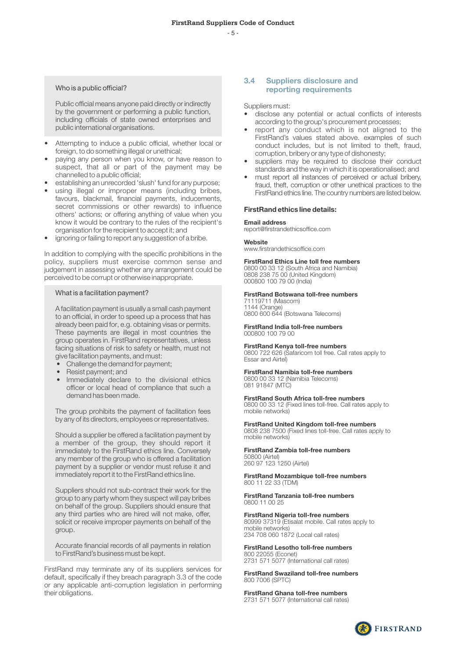$-5$  -  $-5$  -

#### Who is a public official?

Public official means anyone paid directly or indirectly by the government or performing a public function, including officials of state owned enterprises and public international organisations.

- Attempting to induce a public official, whether local or foreign, to do something illegal or unethical;
- paying any person when you know, or have reason to suspect, that all or part of the payment may be channelled to a public official;
- establishing an unrecorded 'slush' fund for any purpose;
- using illegal or improper means (including bribes, favours, blackmail, financial payments, inducements, secret commissions or other rewards) to influence others' actions; or offering anything of value when you know it would be contrary to the rules of the recipient's organisation for the recipient to accept it; and
- ignoring or failing to report any suggestion of a bribe.

In addition to complying with the specific prohibitions in the policy, suppliers must exercise common sense and judgement in assessing whether any arrangement could be perceived to be corrupt or otherwise inappropriate.

#### What is a facilitation payment?

A facilitation payment is usually a small cash payment to an official, in order to speed up a process that has already been paid for, e.g. obtaining visas or permits. These payments are illegal in most countries the group operates in. FirstRand representatives, unless facing situations of risk to safety or health, must not give facilitation payments, and must:

- Challenge the demand for payment;
- Resist payment; and
- Immediately declare to the divisional ethics officer or local head of compliance that such a demand has been made.

The group prohibits the payment of facilitation fees by any of its directors, employees or representatives.

Should a supplier be offered a facilitation payment by a member of the group, they should report it immediately to the FirstRand ethics line. Conversely any member of the group who is offered a facilitation payment by a supplier or vendor must refuse it and immediately report it to the FirstRand ethics line.

Suppliers should not sub-contract their work for the group to any party whom they suspect will pay bribes on behalf of the group. Suppliers should ensure that any third parties who are hired will not make, offer, solicit or receive improper payments on behalf of the group.

Accurate financial records of all payments in relation to FirstRand's business must be kept.

FirstRand may terminate any of its suppliers services for default, specifically if they breach paragraph 3.3 of the code or any applicable anti-corruption legislation in performing their obligations.

# 3.4 Suppliers disclosure and reporting requirements

Suppliers must:

- disclose any potential or actual conflicts of interests according to the group's procurement processes;
- report any conduct which is not aligned to the FirstRand's values stated above. examples of such conduct includes, but is not limited to theft, fraud, corruption, bribery or any type of dishonesty;
- suppliers may be required to disclose their conduct standards and the way in which it is operationalised; and
- must report all instances of perceived or actual bribery, fraud, theft, corruption or other unethical practices to the FirstRand ethics line. The country numbers are listed below.

#### FirstRand ethics line details:

# Email address

report@firstrandethicsoffice.com

#### Website

www.firstrandethicsoffice.com

#### FirstRand Ethics Line toll free numbers

0800 00 33 12 (South Africa and Namibia) 0808 238 75 00 (United Kingdom) 000800 100 79 00 (India)

#### FirstRand Botswana toll-free numbers

71119711 (Mascom) 1144 (Orange) 0800 600 644 (Botswana Telecoms)

FirstRand India toll-free numbers 000800 100 79 00

# FirstRand Kenya toll-free numbers

0800 722 626 (Safaricom toll free. Call rates apply to Essar and Airtel)

#### FirstRand Namibia toll-free numbers

0800 00 33 12 (Namibia Telecoms) 081 91847 (MTC)

FirstRand South Africa toll-free numbers 0800 00 33 12 (Fixed lines toll-free. Call rates apply to mobile networks)

FirstRand United Kingdom toll-free numbers

0808 238 7500 (Fixed lines toll-free. Call rates apply to mobile networks)

FirstRand Zambia toll-free numbers

50800 (Airtel) 260 97 123 1250 (Airtel)

FirstRand Mozambique toll-free numbers 800 11 22 33 (TDM)

FirstRand Tanzania toll-free numbers 0800 11 00 25

#### FirstRand Nigeria toll-free numbers

80999 37319 (Etisalat mobile. Call rates apply to mobile networks) 234 708 060 1872 (Local call rates)

FirstRand Lesotho toll-free numbers

800 22055 (Econet) 2731 571 5077 (International call rates)

FirstRand Swaziland toll-free numbers 800 7006 (SPTC)

FirstRand Ghana toll-free numbers 2731 571 5077 (International call rates)

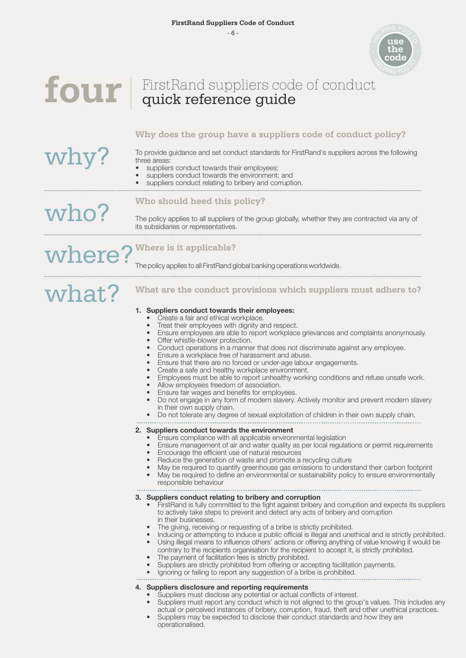

<sup>P</sup>IN<sup>G</sup> <sup>Y</sup>O<sup>U</sup>

# four | FirstRand suppliers code of conduct

# **Why does the group have a suppliers code of conduct policy?**

To provide guidance and set conduct standards for FirstRand's suppliers across the following three areas:

suppliers conduct towards their employees;

**Who should heed this policy?**

- suppliers conduct towards the environment; and
- suppliers conduct relating to bribery and corruption.

# who?

where?

why?

The policy applies to all suppliers of the group globally, whether they are contracted via any of

its subsidiaries or representatives.

# **Where is it applicable?**

The policy applies to all FirstRand global banking operations worldwide.

# what? **What are the conduct provisions which suppliers must adhere to?**

# 1. Suppliers conduct towards their employees:

- Create a fair and ethical workplace.
- Treat their employees with dignity and respect.
- Ensure employees are able to report workplace grievances and complaints anonymously.
- Offer whistle-blower protection.<br>• Conduct operations in a manne
- Conduct operations in a manner that does not discriminate against any employee.
- Ensure a workplace free of harassment and abuse.
- Ensure that there are no forced or under-age labour engagements.
- Create a safe and healthy workplace environment.<br>• Employees must be able to report unhealthy worki
- Employees must be able to report unhealthy working conditions and refuse unsafe work.
- Allow employees freedom of association.
- Ensure fair wages and benefits for employees.
- Do not engage in any form of modern slavery. Actively monitor and prevent modern slavery in their own supply chain.
- Do not tolerate any degree of sexual exploitation of children in their own supply chain.

## 2. Suppliers conduct towards the environment

- Ensure compliance with all applicable environmental legislation
- Ensure management of air and water quality as per local regulations or permit requirements
- Encourage the efficient use of natural resources
- Reduce the generation of waste and promote a recycling culture
- May be required to quantify greenhouse gas emissions to understand their carbon footprint<br>• May be required to define an environmental or sustainability policy to ensure environmentally
- May be required to define an environmental or sustainability policy to ensure environmentally
- responsible behaviour

## 3. Suppliers conduct relating to bribery and corruption

- FirstRand is fully committed to the fight against bribery and corruption and expects its suppliers to actively take steps to prevent and detect any acts of bribery and corruption in their businesses.
- The giving, receiving or requesting of a bribe is strictly prohibited.<br>• Inducing or attempting to induce a public official is illocal and uno
- Inducing or attempting to induce a public official is illegal and unethical and is strictly prohibited.
- Using illegal means to influence others' actions or offering anything of value knowing it would be
- contrary to the recipients organisation for the recipient to accept it, is strictly prohibited.
- The payment of facilitation fees is strictly prohibited.
- Suppliers are strictly prohibited from offering or accepting facilitation payments.
- Ignoring or failing to report any suggestion of a bribe is prohibited.

## 4. Suppliers disclosure and reporting requirements

- Suppliers must disclose any potential or actual conflicts of interest.
- Suppliers must report any conduct which is not aligned to the group's values. This includes any actual or perceived instances of bribery, corruption, fraud, theft and other unethical practices.
- Suppliers may be expected to disclose their conduct standards and how they are operationalised.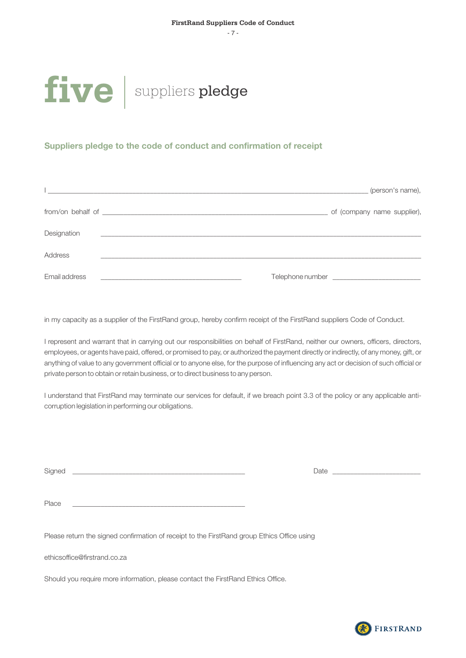- 7 -

# five suppliers pledge

# Suppliers pledge to the code of conduct and confirmation of receipt

|               | (person's name),<br><u> 1980 - Jan Barnett, fransk politiker (d. 1980)</u>                                           |
|---------------|----------------------------------------------------------------------------------------------------------------------|
|               | of (company name supplier),                                                                                          |
| Designation   | <u> 1989 - Johann John Stein, markin fan it ferstjer fan it ferstjer fan it ferstjer fan it ferstjer fan it fers</u> |
| Address       |                                                                                                                      |
| Email address | <u> 1989 - Johann John Stone, mars et al. (</u>                                                                      |

in my capacity as a supplier of the FirstRand group, hereby confirm receipt of the FirstRand suppliers Code of Conduct.

I represent and warrant that in carrying out our responsibilities on behalf of FirstRand, neither our owners, officers, directors, employees, or agents have paid, offered, or promised to pay, or authorized the payment directly or indirectly, of any money, gift, or anything of value to any government official or to anyone else, for the purpose of influencing any act or decision of such official or private person to obtain or retain business, or to direct business to any person.

I understand that FirstRand may terminate our services for default, if we breach point 3.3 of the policy or any applicable anticorruption legislation in performing our obligations.

Signed \_\_\_\_\_\_\_\_\_\_\_\_\_\_\_\_\_\_\_\_\_\_\_\_\_\_\_\_\_\_\_\_\_\_\_\_\_\_\_\_\_\_\_\_\_\_\_\_\_ Date \_\_\_\_\_\_\_\_\_\_\_\_\_\_\_\_\_\_\_\_\_\_\_\_\_

Place \_\_\_\_\_\_\_\_\_\_\_\_\_\_\_\_\_\_\_\_\_\_\_\_\_\_\_\_\_\_\_\_\_\_\_\_\_\_\_\_\_\_\_\_\_\_\_\_\_

Please return the signed confirmation of receipt to the FirstRand group Ethics Office using

ethicsoffice@firstrand.co.za

Should you require more information, please contact the FirstRand Ethics Office.